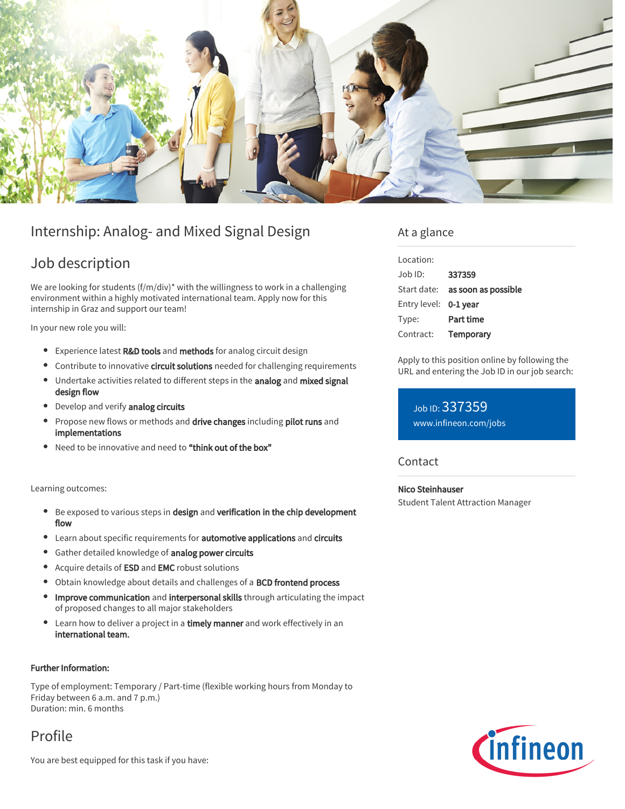

# Internship: Analog- and Mixed Signal Design

# Job description

We are looking for students (f/m/div)\* with the willingness to work in a challenging environment within a highly motivated international team. Apply now for this internship in Graz and support our team!

In your new role you will:

- **Experience latest R&D tools and methods for analog circuit design**
- **•** Contribute to innovative circuit solutions needed for challenging requirements
- Undertake activities related to different steps in the analog and mixed signal design flow
- Develop and verify analog circuits
- Propose new flows or methods and drive changes including pilot runs and implementations
- Need to be innovative and need to "think out of the box"

Learning outcomes:

- **•** Be exposed to various steps in design and verification in the chip development flow
- Learn about specific requirements for automotive applications and circuits
- **Gather detailed knowledge of analog power circuits**
- Acquire details of ESD and EMC robust solutions
- Obtain knowledge about details and challenges of a BCD frontend process
- Improve communication and interpersonal skills through articulating the impact of proposed changes to all major stakeholders
- Learn how to deliver a project in a timely manner and work effectively in an international team.

### Further Information:

Type of employment: Temporary / Part-time (flexible working hours from Monday to Friday between 6 a.m. and 7 p.m.) Duration: min. 6 months

Profile

You are best equipped for this task if you have:

## At a glance

| Location:                     |                                        |
|-------------------------------|----------------------------------------|
| $\Delta$ lob $\overline{D}$ : | 337359                                 |
|                               | Start date: <b>as soon as possible</b> |
| Entry level: 0-1 year         |                                        |
| Type:                         | Part time                              |
| Contract:                     | Temporary                              |

Apply to this position online by following the URL and entering the Job ID in our job search:

Job ID: 337359 [www.infineon.com/jobs](https://www.infineon.com/jobs)

### **Contact**

Nico Steinhauser

Student Talent Attraction Manager